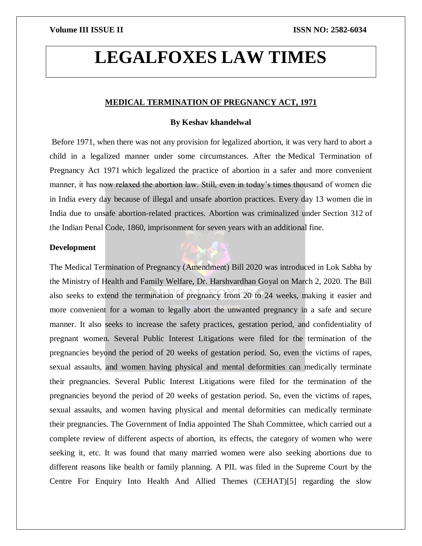# **LEGALFOXES LAW TIMES**

# **MEDICAL TERMINATION OF PREGNANCY ACT, 1971**

## **By Keshav khandelwal**

Before 1971, when there was not any provision for legalized abortion, it was very hard to abort a child in a legalized manner under some circumstances. After the Medical Termination of Pregnancy Act 1971 which legalized the practice of abortion in a safer and more convenient manner, it has now relaxed the abortion law. Still, even in today's times thousand of women die in India every day because of illegal and unsafe abortion practices. Every day 13 women die in India due to unsafe abortion-related practices. Abortion was criminalized under Section 312 of the Indian Penal Code, 1860, imprisonment for seven years with an additional fine.

# **Development**

The Medical Termination of Pregnancy (Amendment) Bill 2020 was introduced in Lok Sabha by the Ministry of Health and Family Welfare, Dr. Harshvardhan Goyal on March 2, 2020. The Bill also seeks to extend the termination of pregnancy from 20 to 24 weeks, making it easier and more convenient for a woman to legally abort the unwanted pregnancy in a safe and secure manner. It also seeks to increase the safety practices, gestation period, and confidentiality of pregnant women. Several Public Interest Litigations were filed for the termination of the pregnancies beyond the period of 20 weeks of gestation period. So, even the victims of rapes, sexual assaults, and women having physical and mental deformities can medically terminate their pregnancies. Several Public Interest Litigations were filed for the termination of the pregnancies beyond the period of 20 weeks of gestation period. So, even the victims of rapes, sexual assaults, and women having physical and mental deformities can medically terminate their pregnancies. The Government of India appointed The Shah Committee, which carried out a complete review of different aspects of abortion, its effects, the category of women who were seeking it, etc. It was found that many married women were also seeking abortions due to different reasons like health or family planning. A PIL was filed in the Supreme Court by the Centre For Enquiry Into Health And Allied Themes (CEHAT)[5] regarding the slow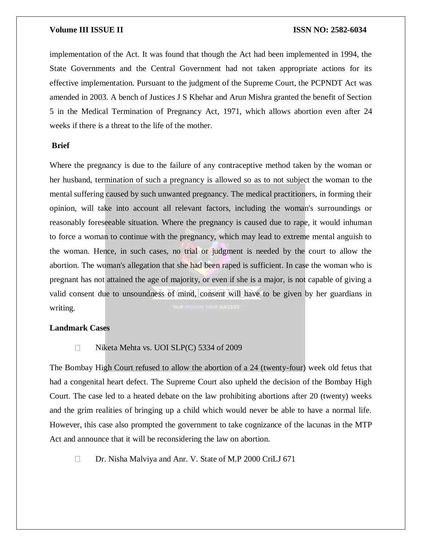### **Volume III ISSUE II III ISSN NO:** 2582-6034

implementation of the Act. It was found that though the Act had been implemented in 1994, the State Governments and the Central Government had not taken appropriate actions for its effective implementation. Pursuant to the judgment of the Supreme Court, the PCPNDT Act was amended in 2003. A bench of Justices J S Khehar and Arun Mishra granted the benefit of Section 5 in the Medical Termination of Pregnancy Act, 1971, which allows abortion even after 24 weeks if there is a threat to the life of the mother.

### **Brief**

Where the pregnancy is due to the failure of any contraceptive method taken by the woman or her husband, termination of such a pregnancy is allowed so as to not subject the woman to the mental suffering caused by such unwanted pregnancy. The medical practitioners, in forming their opinion, will take into account all relevant factors, including the woman's surroundings or reasonably foreseeable situation. Where the pregnancy is caused due to rape, it would inhuman to force a woman to continue with the pregnancy, which may lead to extreme mental anguish to the woman. Hence, in such cases, no trial or judgment is needed by the court to allow the abortion. The woman's allegation that she had been raped is sufficient. In case the woman who is pregnant has not attained the age of majority, or even if she is a major, is not capable of giving a valid consent due to unsoundness of mind, consent will have to be given by her guardians in writing.

# **Landmark Cases**

### □ Niketa Mehta vs. UOI SLP(C) 5334 of 2009

The Bombay High Court refused to allow the abortion of a 24 (twenty-four) week old fetus that had a congenital heart defect. The Supreme Court also upheld the decision of the Bombay High Court. The case led to a heated debate on the law prohibiting abortions after 20 (twenty) weeks and the grim realities of bringing up a child which would never be able to have a normal life. However, this case also prompted the government to take cognizance of the lacunas in the MTP Act and announce that it will be reconsidering the law on abortion.

Dr. Nisha Malviya and Anr. V. State of M.P 2000 CriLJ 671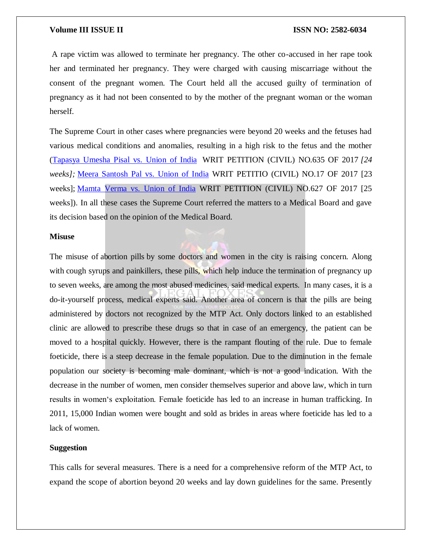# **Volume III ISSUE II ISSN NO: 2582-6034**

A rape victim was allowed to terminate her pregnancy. The other co-accused in her rape took her and terminated her pregnancy. They were charged with causing miscarriage without the consent of the pregnant women. The Court held all the accused guilty of termination of pregnancy as it had not been consented to by the mother of the pregnant woman or the woman herself.

The Supreme Court in other cases where pregnancies were beyond 20 weeks and the fetuses had various medical conditions and anomalies, resulting in a high risk to the fetus and the mother [\(Tapasya](https://indiankanoon.org/doc/72530975/) Umesha Pisal vs. Union of India WRIT PETITION (CIVIL) NO.635 OF 2017 *[24 weeks];* Meera [Santosh](https://indiankanoon.org/doc/168661224/) Pal vs. Union of India WRIT PETITIO (CIVIL) NO.17 OF 2017 [23 weeks]; [Mamta](https://indiankanoon.org/doc/161612603/) Verma vs. Union of India WRIT PETITION (CIVIL) NO.627 OF 2017 [25 weeks]). In all these cases the Supreme Court referred the matters to a Medical Board and gave its decision based on the opinion of the Medical Board.

### **Misuse**

The misuse of abortion pills by some doctors and women in the city is raising concern. Along with cough syrups and painkillers, these pills, which help induce the termination of pregnancy up to seven weeks, are among the most abused medicines, said medical experts. In many cases, it is a do-it-yourself process, medical experts said. Another area of concern is that the pills are being administered by doctors not recognized by the MTP Act. Only doctors linked to an established clinic are allowed to prescribe these drugs so that in case of an emergency, the patient can be moved to a hospital quickly. However, there is the rampant flouting of the rule. Due to female foeticide, there is a steep decrease in the female population. Due to the diminution in the female population our society is becoming male dominant, which is not a good indication. With the decrease in the number of women, men consider themselves superior and above law, which in turn results in women's exploitation. Female foeticide has led to an increase in human trafficking. In 2011, 15,000 Indian women were bought and sold as brides in areas where foeticide has led to a lack of women.

# **Suggestion**

This calls for several measures. There is a need for a comprehensive reform of the MTP Act, to expand the scope of abortion beyond 20 weeks and lay down guidelines for the same. Presently